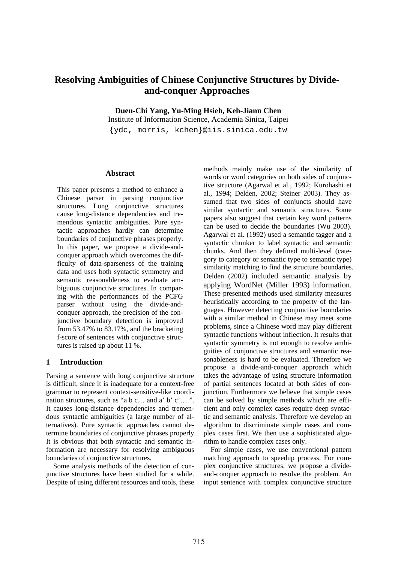# **Resolving Ambiguities of Chinese Conjunctive Structures by Divideand-conquer Approaches**

**Duen-Chi Yang, Yu-Ming Hsieh, Keh-Jiann Chen** 

Institute of Information Science, Academia Sinica, Taipei {ydc, morris, kchen}@iis.sinica.edu.tw

## **Abstract**

This paper presents a method to enhance a Chinese parser in parsing conjunctive structures. Long conjunctive structures cause long-distance dependencies and tremendous syntactic ambiguities. Pure syntactic approaches hardly can determine boundaries of conjunctive phrases properly. In this paper, we propose a divide-andconquer approach which overcomes the difficulty of data-sparseness of the training data and uses both syntactic symmetry and semantic reasonableness to evaluate ambiguous conjunctive structures. In comparing with the performances of the PCFG parser without using the divide-andconquer approach, the precision of the conjunctive boundary detection is improved from 53.47% to 83.17%, and the bracketing f-score of sentences with conjunctive structures is raised up about 11 %.

## **1 Introduction**

Parsing a sentence with long conjunctive structure is difficult, since it is inadequate for a context-free grammar to represent context-sensitive-like coordination structures, such as "a b c… and a' b' c'… ". It causes long-distance dependencies and tremendous syntactic ambiguities (a large number of alternatives). Pure syntactic approaches cannot determine boundaries of conjunctive phrases properly. It is obvious that both syntactic and semantic information are necessary for resolving ambiguous boundaries of conjunctive structures.

Some analysis methods of the detection of conjunctive structures have been studied for a while. Despite of using different resources and tools, these methods mainly make use of the similarity of words or word categories on both sides of conjunctive structure (Agarwal et al., 1992; Kurohashi et al., 1994; Delden, 2002; Steiner 2003). They assumed that two sides of conjuncts should have similar syntactic and semantic structures. Some papers also suggest that certain key word patterns can be used to decide the boundaries (Wu 2003). Agarwal et al. (1992) used a semantic tagger and a syntactic chunker to label syntactic and semantic chunks. And then they defined multi-level (category to category or semantic type to semantic type) similarity matching to find the structure boundaries. Delden (2002) included semantic analysis by applying WordNet (Miller 1993) information. These presented methods used similarity measures heuristically according to the property of the languages. However detecting conjunctive boundaries with a similar method in Chinese may meet some problems, since a Chinese word may play different syntactic functions without inflection. It results that syntactic symmetry is not enough to resolve ambiguities of conjunctive structures and semantic reasonableness is hard to be evaluated. Therefore we propose a divide-and-conquer approach which takes the advantage of using structure information of partial sentences located at both sides of conjunction. Furthermore we believe that simple cases can be solved by simple methods which are efficient and only complex cases require deep syntactic and semantic analysis. Therefore we develop an algorithm to discriminate simple cases and complex cases first. We then use a sophisticated algorithm to handle complex cases only.

For simple cases, we use conventional pattern matching approach to speedup process. For complex conjunctive structures, we propose a divideand-conquer approach to resolve the problem. An input sentence with complex conjunctive structure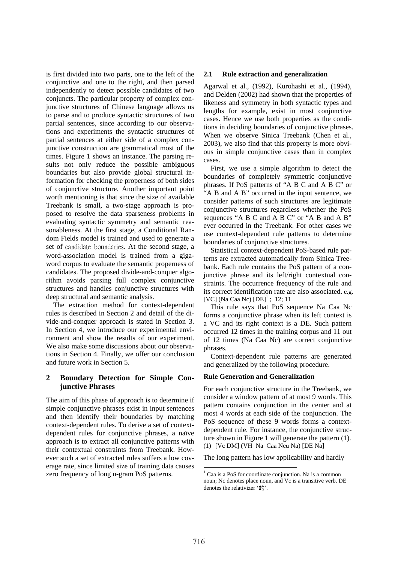is first divided into two parts, one to the left of the conjunctive and one to the right, and then parsed independently to detect possible candidates of two conjuncts. The particular property of complex conjunctive structures of Chinese language allows us to parse and to produce syntactic structures of two partial sentences, since according to our observations and experiments the syntactic structures of partial sentences at either side of a complex conjunctive construction are grammatical most of the times. Figure 1 shows an instance. The parsing results not only reduce the possible ambiguous boundaries but also provide global structural information for checking the properness of both sides of conjunctive structure. Another important point worth mentioning is that since the size of available Treebank is small, a two-stage approach is proposed to resolve the data sparseness problems in evaluating syntactic symmetry and semantic reasonableness. At the first stage, a Conditional Random Fields model is trained and used to generate a set of candidate boundaries. At the second stage, a word-association model is trained from a gigaword corpus to evaluate the semantic properness of candidates. The proposed divide-and-conquer algorithm avoids parsing full complex conjunctive structures and handles conjunctive structures with deep structural and semantic analysis.

The extraction method for context-dependent rules is described in Section 2 and detail of the divide-and-conquer approach is stated in Section 3. In Section 4, we introduce our experimental environment and show the results of our experiment. We also make some discussions about our observations in Section 4. Finally, we offer our conclusion and future work in Section 5.

# **2 Boundary Detection for Simple Conjunctive Phrases**

The aim of this phase of approach is to determine if simple conjunctive phrases exist in input sentences and then identify their boundaries by matching context-dependent rules. To derive a set of contextdependent rules for conjunctive phrases, a naïve approach is to extract all conjunctive patterns with their contextual constraints from Treebank. However such a set of extracted rules suffers a low coverage rate, since limited size of training data causes zero frequency of long n-gram PoS patterns.

## **2.1 Rule extraction and generalization**

Agarwal et al., (1992), Kurohashi et al., (1994), and Delden (2002) had shown that the properties of likeness and symmetry in both syntactic types and lengths for example, exist in most conjunctive cases. Hence we use both properties as the conditions in deciding boundaries of conjunctive phrases. When we observe Sinica Treebank (Chen et al., 2003), we also find that this property is more obvious in simple conjunctive cases than in complex cases.

First, we use a simple algorithm to detect the boundaries of completely symmetric conjunctive phrases. If PoS patterns of "A B C and A B C" or "A B and A B" occurred in the input sentence, we consider patterns of such structures are legitimate conjunctive structures regardless whether the PoS sequences "A B C and A B C" or "A B and A B" ever occurred in the Treebank. For other cases we use context-dependent rule patterns to determine boundaries of conjunctive structures.

Statistical context-dependent PoS-based rule patterns are extracted automatically from Sinica Treebank. Each rule contains the PoS pattern of a conjunctive phrase and its left/right contextual constraints. The occurrence frequency of the rule and its correct identification rate are also associated. e.g. [VC] (Na Caa Nc)  $[DE]$ <sup>1</sup>; 12; 11

This rule says that PoS sequence Na Caa Nc forms a conjunctive phrase when its left context is a VC and its right context is a DE. Such pattern occurred 12 times in the training corpus and 11 out of 12 times (Na Caa Nc) are correct conjunctive phrases.

Context-dependent rule patterns are generated and generalized by the following procedure.

## **Rule Generation and Generalization**

For each conjunctive structure in the Treebank, we consider a window pattern of at most 9 words. This pattern contains conjunction in the center and at most 4 words at each side of the conjunction. The PoS sequence of these 9 words forms a contextdependent rule. For instance, the conjunctive structure shown in Figure 1 will generate the pattern (1). (1) [Vc DM] (VH Na Caa Neu Na) [DE Na]

The long pattern has low applicability and hardly

<sup>&</sup>lt;sup>1</sup> Caa is a PoS for coordinate conjunction. Na is a common noun; Nc denotes place noun, and Vc is a transitive verb. DE denotes the relativizer '的'.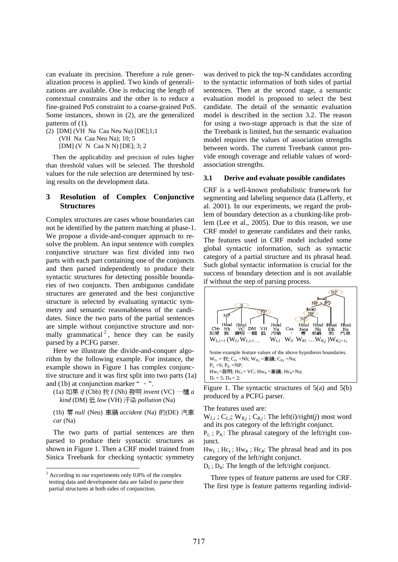can evaluate its precision. Therefore a rule generalization process is applied. Two kinds of generalizations are available. One is reducing the length of contextual constrains and the other is to reduce a fine-grained PoS constraint to a coarse-grained PoS. Some instances, shown in (2), are the generalized patterns of  $(1)$ .

(2) [DM] (VH Na Caa Neu Na) [DE];1;1 (VH Na Caa Neu Na); 10; 5 [DM] (V N Caa N N) [DE]; 3; 2

Then the applicability and precision of rules higher than threshold values will be selected. The threshold values for the rule selection are determined by testing results on the development data.

## **3 Resolution of Complex Conjunctive Structures**

Complex structures are cases whose boundaries can not be identified by the pattern matching at phase-1. We propose a divide-and-conquer approach to resolve the problem. An input sentence with complex conjunctive structure was first divided into two parts with each part containing one of the conjuncts and then parsed independently to produce their syntactic structures for detecting possible boundaries of two conjuncts. Then ambiguous candidate structures are generated and the best conjunctive structure is selected by evaluating syntactic symmetry and semantic reasonableness of the candidates. Since the two parts of the partial sentences are simple without conjunctive structure and normally grammatical<sup>2</sup>, hence they can be easily parsed by a PCFG parser.

Here we illustrate the divide-and-conquer algorithm by the following example. For instance, the example shown in Figure 1 has complex conjunctive structure and it was first split into two parts (1a) and (1b) at conjunction marker " $\cdot$ ".

(1a) 如果 *if* (Cbb) 我 *I* (Nh) 發明 *invent* (VC) 一種 *a kind* (DM) 低 *low* (VH) 汙染 *pollution* (Na)

(1b) 零 *null* (Neu) 車禍 *accident* (Na) 的(DE) 汽車 *car* (Na)

The two parts of partial sentences are then parsed to produce their syntactic structures as shown in Figure 1. Then a CRF model trained from Sinica Treebank for checking syntactic symmetry

was derived to pick the top-N candidates according to the syntactic information of both sides of partial sentences. Then at the second stage, a semantic evaluation model is proposed to select the best candidate. The detail of the semantic evaluation model is described in the section 3.2. The reason for using a two-stage approach is that the size of the Treebank is limited, but the semantic evaluation model requires the values of association strengths between words. The current Treebank cannot provide enough coverage and reliable values of wordassociation strengths.

#### **3.1 Derive and evaluate possible candidates**

CRF is a well-known probabilistic framework for segmenting and labeling sequence data (Lafferty, et al. 2001). In our experiments, we regard the problem of boundary detection as a chunking-like problem (Lee et al., 2005). Due to this reason, we use CRF model to generate candidates and their ranks. The features used in CRF model included some global syntactic information, such as syntactic category of a partial structure and its phrasal head. Such global syntactic information is crucial for the success of boundary detection and is not available if without the step of parsing process.



Figure 1. The syntactic structures of 5(a) and 5(b) produced by a PCFG parser.

The features used are:

 $W_{L,i}$ ;  $C_{L,i}$ ;  $W_{R,j}$ ;  $C_{R,j}$ : The left(*i*)/right(*j*) most word and its pos category of the left/right conjunct.

 $P_L$ ;  $P_R$ : The phrasal category of the left/right conjunct.

Hw*L* ; Hc*L* ; Hw*R* ; Hc*R*: The phrasal head and its pos category of the left/right conjunct.

 $D_L$ ;  $D_R$ : The length of the left/right conjunct.

Three types of feature patterns are used for CRF. The first type is feature patterns regarding individ-

 $2$  According to our experiments only 0.8% of the complex testing data and development data are failed to parse their partial structures at both sides of conjunction.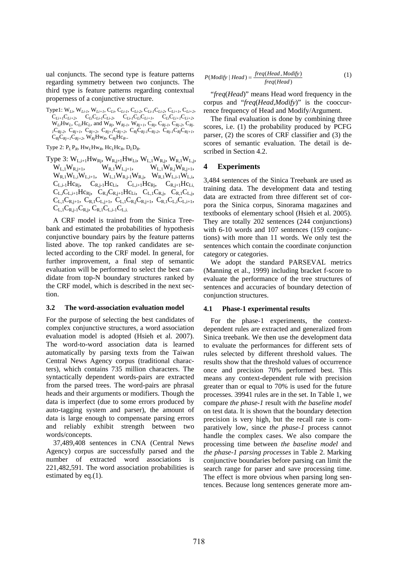ual conjuncts. The second type is feature patterns regarding symmetry between two conjuncts. The third type is feature patterns regarding contextual properness of a conjunctive structure.

Type1: W*Li*, W*Li-1*, W*Li+1*, C*Li*, C*Li-1*, C*Li-2*, C*Li-1*C*Li-2*, C*Li+1*, C*Li+2*,  $C_{Li+1}C_{Li+2}$ ,  $C_{Li}C_{Li-1}C_{Li-2}$ ,  $C_{Li-1}C_{Li}C_{Li+1}$ ,  $C_{Li}C_{Li+1}C_{Li+2}$ ,  $W_{Li}Hw_L$ ,  $C_{Li}Hc_L$ , and  $W_{Rj}$ ,  $W_{Rj-1}$ ,  $W_{Rj+1}$ ,  $C_{Rj}$ ,  $C_{Rj-1}$ ,  $C_{Rj-2}$ ,  $C_{Rj-2}$ *<sup>1</sup>*C*Rj-2*, C*Rj+1*, C*Rj+2*, C*Rj+1*C*Rj+2*, C*Rj*C*Rj-1*C*Rj-2*, C*Rj-1*C*Rj*C*Rj+1*,  $C_{Rj}C_{Rj+1}C_{Rj+2}$ , W<sub>Rj</sub>Hw<sub>R</sub>, C<sub>Rj</sub>Hc<sub>R</sub>...

Type 2:  $P_L P_R$ ,  $Hw_L Hw_R$ ,  $Hc_L Hc_R$ ,  $D_L D_R$ .

Type 3:  $W_{L,i+1}Hw_{Rj}$ ,  $W_{R,j+1}Hw_{Li}$ ,  $W_{L,1}W_{R,j}$ ,  $W_{R,1}W_{L,j}$ ,  $W_{L,1}W_{R,j+1}$ ,  $W_{R,1}W_{L,j+1}$ ,  $W_{L,1}W_{R,j}W_{R,j+1}$ ,  $W_{R,1}W_{L,i}W_{L,i+1}$ ,  $W_{L,1}W_{R,i-1}W_{R,j}$ ,  $W_{R,1}W_{L,i-1}W_{L,i}$  $C_{L,i-1}Hc_{Rj}$ ,  $C_{R,j-1}Hc_{Li}$ ,  $C_{L,i+1}Hc_{Rj}$ ,  $C_{R,j+1}Hc_{Li}$  $C_{L,i}C_{L,i+1}Hc_{Ri}$ ,  $C_{R,j}C_{R,i+1}Hc_{Li}$ ,  $C_{L,1}C_{R,i}$ ,  $C_{R,1}C_{L,i}$ ,  $C_{L,1}C_{R,j+1}$ ,  $C_{R,1}C_{L,j+1}$ ,  $C_{L,1}C_{R,j}C_{R,j+1}$ ,  $C_{R,1}C_{L,i}C_{L,i+1}$ ,  $C_{L,1}C_{R,i-1}C_{R,i}$ ,  $C_{R,1}C_{L,i-1}C_{L,i}$ 

A CRF model is trained from the Sinica Treebank and estimated the probabilities of hypothesis conjunctive boundary pairs by the feature patterns listed above. The top ranked candidates are selected according to the CRF model. In general, for further improvement, a final step of semantic evaluation will be performed to select the best candidate from top-N boundary structures ranked by the CRF model, which is described in the next section.

## **3.2 The word-association evaluation model**

For the purpose of selecting the best candidates of complex conjunctive structures, a word association evaluation model is adopted (Hsieh et al. 2007). The word-to-word association data is learned automatically by parsing texts from the Taiwan Central News Agency corpus (traditional characters), which contains 735 million characters. The syntactically dependent words-pairs are extracted from the parsed trees. The word-pairs are phrasal heads and their arguments or modifiers. Though the data is imperfect (due to some errors produced by auto-tagging system and parser), the amount of data is large enough to compensate parsing errors and reliably exhibit strength between two words/concepts.

37,489,408 sentences in CNA (Central News Agency) corpus are successfully parsed and the number of extracted word associations is 221,482,591. The word association probabilities is estimated by eq.(1).

$$
P(Modify | Head) = \frac{freq(Head, Modify)}{freq(Head)}
$$
 (1)

"*freq*(*Head*)" means Head word frequency in the corpus and "*freq*(*Head,Modify*)" is the cooccurrence frequency of Head and Modify/Argument.

The final evaluation is done by combining three scores, i.e. (1) the probability produced by PCFG parser, (2) the scores of CRF classifier and (3) the scores of semantic evaluation. The detail is described in Section 4.2.

## **4 Experiments**

3,484 sentences of the Sinica Treebank are used as training data. The development data and testing data are extracted from three different set of corpora the Sinica corpus, Sinorama magazines and textbooks of elementary school (Hsieh et al. 2005). They are totally 202 sentences (244 conjunctions) with 6-10 words and 107 sentences (159 conjunctions) with more than 11 words. We only test the sentences which contain the coordinate conjunction category or categories.

We adopt the standard PARSEVAL metrics (Manning et al., 1999) including bracket f-score to evaluate the performance of the tree structures of sentences and accuracies of boundary detection of conjunction structures.

## **4.1 Phase-1 experimental results**

For the phase-1 experiments, the contextdependent rules are extracted and generalized from Sinica treebank. We then use the development data to evaluate the performances for different sets of rules selected by different threshold values. The results show that the threshold values of occurrence once and precision 70% performed best. This means any context-dependent rule with precision greater than or equal to 70% is used for the future processes. 39941 rules are in the set. In Table 1, we compare *the phase-1* result with *the baseline model*  on test data. It is shown that the boundary detection precision is very high, but the recall rate is comparatively low, since *the phase-1* process cannot handle the complex cases. We also compare the processing time between *the baseline model* and *the phase-1 parsing processes* in Table 2. Marking conjunctive boundaries before parsing can limit the search range for parser and save processing time. The effect is more obvious when parsing long sentences. Because long sentences generate more am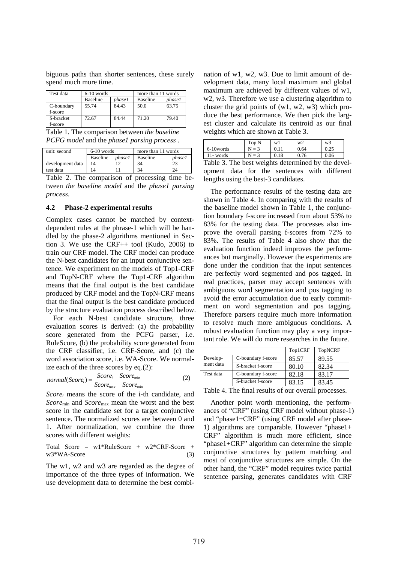biguous paths than shorter sentences, these surely spend much more time.

| Test data             | $6-10$ words    |               | more than 11 words |         |
|-----------------------|-----------------|---------------|--------------------|---------|
|                       | <b>Baseline</b> | <i>phase1</i> | <b>Baseline</b>    | phase 1 |
| C-boundary<br>f-score | 55.74           | 84.43         | 50.0               | 63.75   |
| S-bracket<br>f-score  | 72.67           | 84.44         | 71.20              | 79.40   |

Table 1. The comparison between *the baseline PCFG model* and the *phase1 parsing process* .

| unit: second     | $6-10$ words    |               | more than 11 words |        |
|------------------|-----------------|---------------|--------------------|--------|
|                  | <b>Baseline</b> | <i>phase1</i> | <b>Baseline</b>    | phase1 |
| development data |                 |               | 34                 |        |
| test data        |                 |               | 34                 | 24     |

Table 2. The comparison of processing time between *the baseline model* and the *phase1 parsing process*.

#### **4.2 Phase-2 experimental results**

Complex cases cannot be matched by contextdependent rules at the phrase-1 which will be handled by the phase-2 algorithms mentioned in Section 3. We use the CRF++ tool (Kudo, 2006) to train our CRF model. The CRF model can produce the N-best candidates for an input conjunctive sentence. We experiment on the models of Top1-CRF and TopN-CRF where the Top1-CRF algorithm means that the final output is the best candidate produced by CRF model and the TopN-CRF means that the final output is the best candidate produced by the structure evaluation process described below.

For each N-best candidate structure, three evaluation scores is derived: (a) the probability score generated from the PCFG parser, i.e. RuleScore, (b) the probability score generated from the CRF classifier, i.e. CRF-Score, and (c) the word association score, i.e. WA-Score. We normalize each of the three scores by eq.(2):

$$
normal(Score_i) = \frac{Score_i - Score_{\min}}{Score_{\max} - Score_{\min}}
$$
 (2)

*Scorei* means the score of the i-th candidate, and *Score*min and *Score*max mean the worst and the best score in the candidate set for a target conjunctive sentence. The normalized scores are between 0 and 1. After normalization, we combine the three scores with different weights:

Total Score = 
$$
w1*RuleScore + w2*CRF-Score + w3*WA-Score
$$
 (3)

The w1, w2 and w3 are regarded as the degree of importance of the three types of information. We use development data to determine the best combination of w1, w2, w3. Due to limit amount of development data, many local maximum and global maximum are achieved by different values of w1, w2, w3. Therefore we use a clustering algorithm to cluster the grid points of (w1, w2, w3) which produce the best performance. We then pick the largest cluster and calculate its centroid as our final weights which are shown at Table 3.

|              | Top N | Wi   | w <sup>2</sup> | w3     |
|--------------|-------|------|----------------|--------|
| $6-10$ words |       |      | 0.64           | ل کے و |
| l 1- words   |       | 0.18 |                | 0.06   |

Table 3. The best weights determined by the development data for the sentences with different lengths using the best-3 candidates.

The performance results of the testing data are shown in Table 4. In comparing with the results of the baseline model shown in Table 1, the conjunction boundary f-score increased from about 53% to 83% for the testing data. The processes also improve the overall parsing f-scores from 72% to 83%. The results of Table 4 also show that the evaluation function indeed improves the performances but marginally. However the experiments are done under the condition that the input sentences are perfectly word segmented and pos tagged. In real practices, parser may accept sentences with ambiguous word segmentation and pos tagging to avoid the error accumulation due to early commitment on word segmentation and pos tagging. Therefore parsers require much more information to resolve much more ambiguous conditions. A robust evaluation function may play a very important role. We will do more researches in the future.

|                       |                    | Top1CRF | <b>TopNCRF</b> |  |
|-----------------------|--------------------|---------|----------------|--|
| Develop-<br>ment data | C-boundary f-score | 85.57   | 89.55          |  |
|                       | S-bracket f-score  | 80.10   | 82.34          |  |
| Test data             | C-boundary f-score | 82.18   | 83.17          |  |
|                       | S-bracket f-score  | 83.15   | 83.45          |  |
| m.                    |                    |         |                |  |

Table 4. The final results of our overall processes.

Another point worth mentioning, the performances of "CRF" (using CRF model without phase-1) and "phase1+CRF" (using CRF model after phase-1) algorithms are comparable. However "phase1+ CRF" algorithm is much more efficient, since "phase1+CRF" algorithm can determine the simple conjunctive structures by pattern matching and most of conjunctive structures are simple. On the other hand, the "CRF" model requires twice partial sentence parsing, generates candidates with CRF